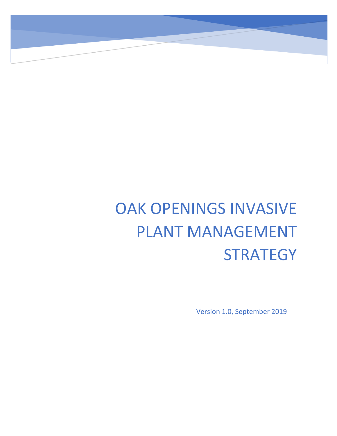# OAK OPENINGS INVASIVE PLANT MANAGEMENT **STRATEGY**

Version 1.0, September 2019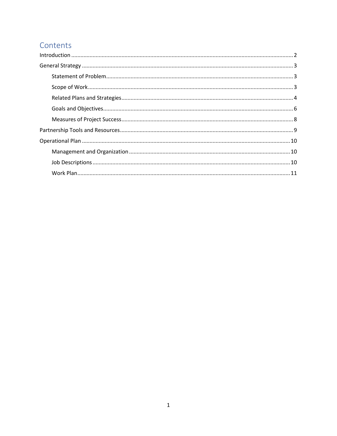# Contents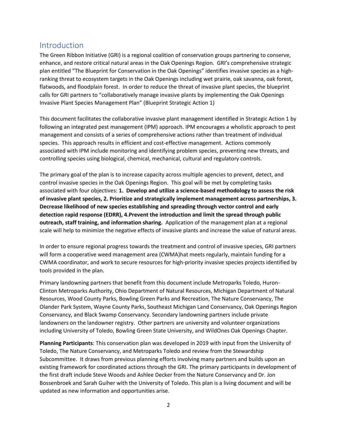# <span id="page-2-0"></span>Introduction

The Green Ribbon Initiative (GRI) is a regional coalition of conservation groups partnering to conserve, enhance, and restore critical natural areas in the Oak Openings Region. GRI's comprehensive strategic plan entitled "The Blueprint for Conservation in the Oak Openings" identifies invasive species as a highranking threat to ecosystem targets in the Oak Openings including wet prairie, oak savanna, oak forest, flatwoods, and floodplain forest. In order to reduce the threat of invasive plant species, the blueprint calls for GRI partners to "collaboratively manage invasive plants by implementing the Oak Openings Invasive Plant Species Management Plan" (Blueprint Strategic Action 1)

This document facilitates the collaborative invasive plant management identified in Strategic Action 1 by following an integrated pest management (IPM) approach. IPM encourages a wholistic approach to pest management and consists of a series of comprehensive actions rather than treatment of individual species. This approach results in efficient and cost-effective management. Actions commonly associated with IPM include monitoring and identifying problem species, preventing new threats, and controlling species using biological, chemical, mechanical, cultural and regulatory controls.

The primary goal of the plan is to increase capacity across multiple agencies to prevent, detect, and control invasive species in the Oak Openings Region. This goal will be met by completing tasks associated with four objectives: **1. Develop and utilize a science-based methodology to assess the risk of invasive plant species, 2. Prioritize and strategically implement management across partnerships, 3. Decrease likelihood of new species establishing and spreading through vector control and early detection rapid response (EDRR), 4.Prevent the introduction and limit the spread through public outreach, staff training, and information sharing.** Application of the management plan at a regional scale will help to minimize the negative effects of invasive plants and increase the value of natural areas.

In order to ensure regional progress towards the treatment and control of invasive species, GRI partners will form a cooperative weed management area (CWMA)hat meets regularly, maintain funding for a CWMA coordinator, and work to secure resources for high-priority invasive species projects identified by tools provided in the plan.

Primary landowning partners that benefit from this document include Metroparks Toledo, Huron-Clinton Metroparks Authority, Ohio Department of Natural Resources, Michigan Department of Natural Resources, Wood County Parks, Bowling Green Parks and Recreation, The Nature Conservancy, The Olander Park System, Wayne County Parks, Southeast Michigan Land Conservancy, Oak Openings Region Conservancy, and Black Swamp Conservancy. Secondary landowning partners include private landowners on the landowner registry. Other partners are university and volunteer organizations including University of Toledo, Bowling Green State University, and WildOnes Oak Openings Chapter.

**Planning Participants**: This conservation plan was developed in 2019 with input from the University of Toledo, The Nature Conservancy, and Metroparks Toledo and review from the Stewardship Subcommittee. It draws from previous planning efforts involving many partners and builds upon an existing framework for coordinated actions through the GRI. The primary participants in development of the first draft include Steve Woods and Ashlee Decker from the Nature Conservancy and Dr. Jon Bossenbroek and Sarah Guiher with the University of Toledo. This plan is a living document and will be updated as new information and opportunities arise.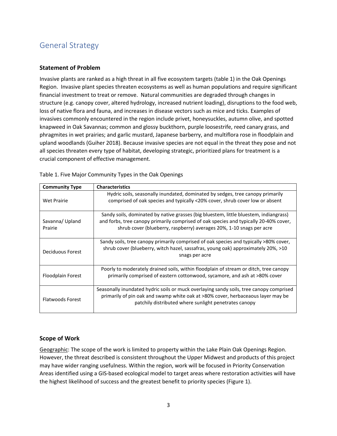# <span id="page-3-0"></span>General Strategy

## <span id="page-3-1"></span>**Statement of Problem**

Invasive plants are ranked as a high threat in all five ecosystem targets (table 1) in the Oak Openings Region. Invasive plant species threaten ecosystems as well as human populations and require significant financial investment to treat or remove. Natural communities are degraded through changes in structure (e.g. canopy cover, altered hydrology, increased nutrient loading), disruptions to the food web, loss of native flora and fauna, and increases in disease vectors such as mice and ticks. Examples of invasives commonly encountered in the region include privet, honeysuckles, autumn olive, and spotted knapweed in Oak Savannas; common and glossy buckthorn, purple loosestrife, reed canary grass, and phragmites in wet prairies; and garlic mustard, Japanese barberry, and multiflora rose in floodplain and upland woodlands (Guiher 2018). Because invasive species are not equal in the threat they pose and not all species threaten every type of habitat, developing strategic, prioritized plans for treatment is a crucial component of effective management.

| <b>Community Type</b>      | <b>Characteristics</b>                                                                                                                                                                                                                                 |
|----------------------------|--------------------------------------------------------------------------------------------------------------------------------------------------------------------------------------------------------------------------------------------------------|
| Wet Prairie                | Hydric soils, seasonally inundated, dominated by sedges, tree canopy primarily<br>comprised of oak species and typically <20% cover, shrub cover low or absent                                                                                         |
| Savanna/ Upland<br>Prairie | Sandy soils, dominated by native grasses (big bluestem, little bluestem, indiangrass)<br>and forbs, tree canopy primarily comprised of oak species and typically 20-40% cover,<br>shrub cover (blueberry, raspberry) averages 20%, 1-10 snags per acre |
| Deciduous Forest           | Sandy soils, tree canopy primarily comprised of oak species and typically >80% cover,<br>shrub cover (blueberry, witch hazel, sassafras, young oak) approximately 20%, >10<br>snags per acre                                                           |
| Floodplain Forest          | Poorly to moderately drained soils, within floodplain of stream or ditch, tree canopy<br>primarily comprised of eastern cottonwood, sycamore, and ash at >80% cover                                                                                    |
| <b>Flatwoods Forest</b>    | Seasonally inundated hydric soils or muck overlaying sandy soils, tree canopy comprised<br>primarily of pin oak and swamp white oak at >80% cover, herbaceaous layer may be<br>patchily distributed where sunlight penetrates canopy                   |

Table 1. Five Major Community Types in the Oak Openings

## <span id="page-3-2"></span>**Scope of Work**

Geographic: The scope of the work is limited to property within the Lake Plain Oak Openings Region. However, the threat described is consistent throughout the Upper Midwest and products of this project may have wider ranging usefulness. Within the region, work will be focused in Priority Conservation Areas identified using a GIS-based ecological model to target areas where restoration activities will have the highest likelihood of success and the greatest benefit to priority species (Figure 1).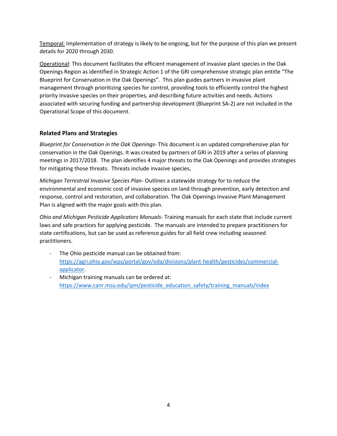Temporal: Implementation of strategy is likely to be ongoing, but for the purpose of this plan we present details for 2020 through 2030.

Operational: This document facilitates the efficient management of invasive plant species in the Oak Openings Region as identified in Strategic Action 1 of the GRI comprehensive strategic plan entitle "The Blueprint for Conservation in the Oak Openings". This plan guides partners in invasive plant management through prioritizing species for control, providing tools to efficiently control the highest priority invasive species on their properties, and describing future activities and needs. Actions associated with securing funding and partnership development (Blueprint SA-2) are not included in the Operational Scope of this document.

# <span id="page-4-0"></span>**Related Plans and Strategies**

*Blueprint for Conservation in the Oak Openings*- This document is an updated comprehensive plan for conservation in the Oak Openings. It was created by partners of GRI in 2019 after a series of planning meetings in 2017/2018. The plan identifies 4 major threats to the Oak Openings and provides strategies for mitigating those threats. Threats include invasive species,

*Michigan Terrestrial Invasive Species Plan*- Outlines a statewide strategy for to reduce the environmental and economic cost of invasive species on land through prevention, early detection and response, control and restoration, and collaboration. The Oak Openings Invasive Plant Management Plan is aligned with the major goals with this plan.

*Ohio and Michigan Pesticide Applicators Manuals*- Training manuals for each state that include current laws and safe practices for applying pesticide. The manuals are intended to prepare practitioners for state certifications, but can be used as reference guides for all field crew including seasoned practitioners.

- The Ohio pesticide manual can be obtained from: [https://agri.ohio.gov/wps/portal/gov/oda/divisions/plant-health/pesticides/commercial](https://agri.ohio.gov/wps/portal/gov/oda/divisions/plant-health/pesticides/commercial-applicator)[applicator.](https://agri.ohio.gov/wps/portal/gov/oda/divisions/plant-health/pesticides/commercial-applicator)
- Michigan training manuals can be ordered at: https://www.canr.msu.edu/ipm/pesticide\_education\_safety/training\_manuals/index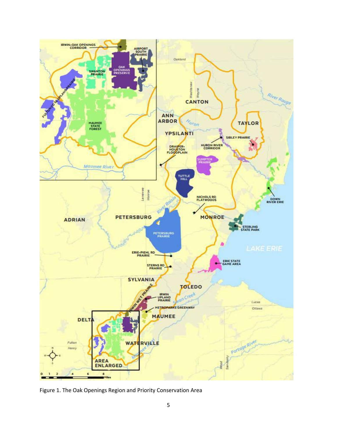

Figure 1. The Oak Openings Region and Priority Conservation Area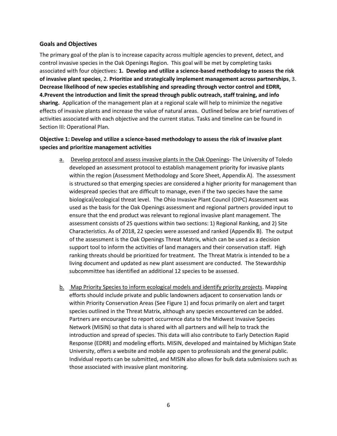## <span id="page-6-0"></span>**Goals and Objectives**

The primary goal of the plan is to increase capacity across multiple agencies to prevent, detect, and control invasive species in the Oak Openings Region. This goal will be met by completing tasks associated with four objectives: **1. Develop and utilize a science-based methodology to assess the risk of invasive plant species**, 2. **Prioritize and strategically implement management across partnerships**, 3. **Decrease likelihood of new species establishing and spreading through vector control and EDRR, 4.Prevent the introduction and limit the spread through public outreach, staff training, and info sharing.** Application of the management plan at a regional scale will help to minimize the negative effects of invasive plants and increase the value of natural areas. Outlined below are brief narratives of activities associated with each objective and the current status. Tasks and timeline can be found in Section III: Operational Plan.

## **Objective 1: Develop and utilize a science-based methodology to assess the risk of invasive plant species and prioritize management activities**

- a. Develop protocol and assess invasive plants in the Oak Openings- The University of Toledo developed an assessment protocol to establish management priority for invasive plants within the region (Assessment Methodology and Score Sheet, Appendix A). The assessment is structured so that emerging species are considered a higher priority for management than widespread species that are difficult to manage, even if the two species have the same biological/ecological threat level. The Ohio Invasive Plant Council (OIPC) Assessment was used as the basis for the Oak Openings assessment and regional partners provided input to ensure that the end product was relevant to regional invasive plant management. The assessment consists of 25 questions within two sections: 1) Regional Ranking, and 2) Site Characteristics. As of 2018, 22 species were assessed and ranked (Appendix B). The output of the assessment is the Oak Openings Threat Matrix, which can be used as a decision support tool to inform the activities of land managers and their conservation staff. High ranking threats should be prioritized for treatment. The Threat Matrix is intended to be a living document and updated as new plant assessment are conducted. The Stewardship subcommittee has identified an additional 12 species to be assessed.
- b. Map Priority Species to inform ecological models and identify priority projects. Mapping efforts should include private and public landowners adjacent to conservation lands or within Priority Conservation Areas (See Figure 1) and focus primarily on alert and target species outlined in the Threat Matrix, although any species encountered can be added. Partners are encouraged to report occurrence data to the Midwest Invasive Species Network (MISIN) so that data is shared with all partners and will help to track the introduction and spread of species. This data will also contribute to Early Detection Rapid Response (EDRR) and modeling efforts. MISIN, developed and maintained by Michigan State University, offers a website and mobile app open to professionals and the general public. Individual reports can be submitted, and MISIN also allows for bulk data submissions such as those associated with invasive plant monitoring.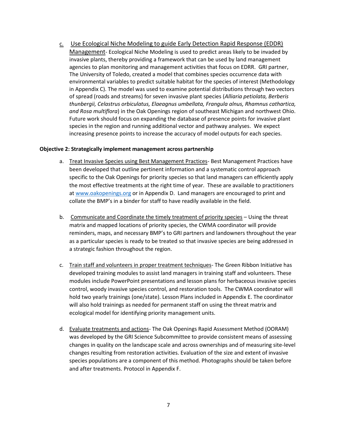c. Use Ecological Niche Modeling to guide Early Detection Rapid Response (EDDR) Management- Ecological Niche Modeling is used to predict areas likely to be invaded by invasive plants, thereby providing a framework that can be used by land management agencies to plan monitoring and management activities that focus on EDRR. GRI partner, The University of Toledo, created a model that combines species occurrence data with environmental variables to predict suitable habitat for the species of interest (Methodology in Appendix C). The model was used to examine potential distributions through two vectors of spread (roads and streams) for seven invasive plant species (*Alliaria petiolata, Berberis thunbergii, Celastrus orbiculatus, Elaeagnus umbellata, Frangula alnus, Rhamnus cathartica, and Rosa multiflora*) in the Oak Openings region of southeast Michigan and northwest Ohio. Future work should focus on expanding the database of presence points for invasive plant species in the region and running additional vector and pathway analyses. We expect increasing presence points to increase the accuracy of model outputs for each species.

#### **Objective 2: Strategically implement management across partnership**

- a. Treat Invasive Species using Best Management Practices- Best Management Practices have been developed that outline pertinent information and a systematic control approach specific to the Oak Openings for priority species so that land managers can efficiently apply the most effective treatments at the right time of year. These are available to practitioners a[t www.oakopenings.org](http://www.oakopenings.org/) or in Appendix D. Land managers are encouraged to print and collate the BMP's in a binder for staff to have readily available in the field.
- b. Communicate and Coordinate the timely treatment of priority species Using the threat matrix and mapped locations of priority species, the CWMA coordinator will provide reminders, maps, and necessary BMP's to GRI partners and landowners throughout the year as a particular species is ready to be treated so that invasive species are being addressed in a strategic fashion throughout the region.
- c. Train staff and volunteers in proper treatment techniques- The Green Ribbon Initiative has developed training modules to assist land managers in training staff and volunteers. These modules include PowerPoint presentations and lesson plans for herbaceous invasive species control, woody invasive species control, and restoration tools. The CWMA coordinator will hold two yearly trainings (one/state). Lesson Plans included in Appendix E. The coordinator will also hold trainings as needed for permanent staff on using the threat matrix and ecological model for identifying priority management units.
- d. Evaluate treatments and actions- The Oak Openings Rapid Assessment Method (OORAM) was developed by the GRI Science Subcommittee to provide consistent means of assessing changes in quality on the landscape scale and across ownerships and of measuring site-level changes resulting from restoration activities. Evaluation of the size and extent of invasive species populations are a component of this method. Photographs should be taken before and after treatments. Protocol in Appendix F.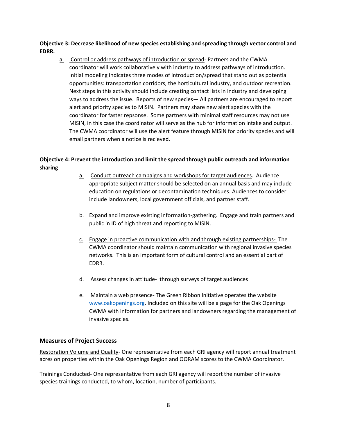**Objective 3: Decrease likelihood of new species establishing and spreading through vector control and EDRR.**

a. Control or address pathways of introduction or spread- Partners and the CWMA coordinator will work collaboratively with industry to address pathways of introduction. Initial modeling indicates three modes of introduction/spread that stand out as potential opportunities: transportation corridors, the horticultural industry, and outdoor recreation. Next steps in this activity should include creating contact lists in industry and developing ways to address the issue. Reports of new species— All partners are encouraged to report alert and priority species to MISIN. Partners may share new alert species with the coordinator for faster repsonse. Some partners with minimal staff resources may not use MISIN, in this case the coordinator will serve as the hub for information intake and output. The CWMA coordinator will use the alert feature through MISIN for priority species and will email partners when a notice is recieved.

# **Objective 4: Prevent the introduction and limit the spread through public outreach and information sharing**

- a. Conduct outreach campaigns and workshops for target audiences. Audience appropriate subject matter should be selected on an annual basis and may include education on regulations or decontamination techniques. Audiences to consider include landowners, local government officials, and partner staff.
- b. Expand and improve existing information-gathering. Engage and train partners and public in ID of high threat and reporting to MISIN.
- c. Engage in proactive communication with and through existing partnerships- The CWMA coordinator should maintain communication with regional invasive species networks. This is an important form of cultural control and an essential part of EDRR.
- d. Assess changes in attitude-through surveys of target audiences
- e. Maintain a web presence- The Green Ribbon Initiative operates the website [www.oakopenings.org.](http://www.oakopenings.org/) Included on this site will be a page for the Oak Openings CWMA with information for partners and landowners regarding the management of invasive species.

## <span id="page-8-0"></span>**Measures of Project Success**

Restoration Volume and Quality- One representative from each GRI agency will report annual treatment acres on properties within the Oak Openings Region and OORAM scores to the CWMA Coordinator.

Trainings Conducted- One representative from each GRI agency will report the number of invasive species trainings conducted, to whom, location, number of participants.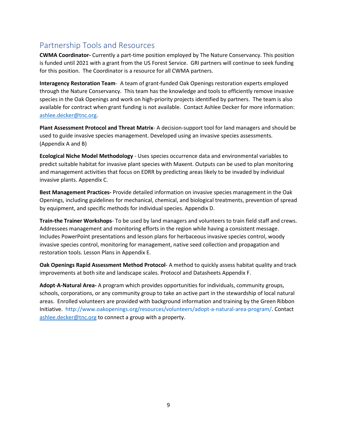# <span id="page-9-0"></span>Partnership Tools and Resources

**CWMA Coordinator-** Currently a part-time position employed by The Nature Conservancy. This position is funded until 2021 with a grant from the US Forest Service. GRI partners will continue to seek funding for this position. The Coordinator is a resource for all CWMA partners.

**Interagency Restoration Team**- A team of grant-funded Oak Openings restoration experts employed through the Nature Conservancy. This team has the knowledge and tools to efficiently remove invasive species in the Oak Openings and work on high-priority projects identified by partners. The team is also available for contract when grant funding is not available. Contact Ashlee Decker for more information: [ashlee.decker@tnc.org.](mailto:ashlee.decker@tnc.org)

**Plant Assessment Protocol and Threat Matrix**- A decision-support tool for land managers and should be used to guide invasive species management. Developed using an invasive species assessments. (Appendix A and B)

**Ecological Niche Model Methodology** - Uses species occurrence data and environmental variables to predict suitable habitat for invasive plant species with Maxent. Outputs can be used to plan monitoring and management activities that focus on EDRR by predicting areas likely to be invaded by individual invasive plants. Appendix C.

**Best Management Practices-** Provide detailed information on invasive species management in the Oak Openings, including guidelines for mechanical, chemical, and biological treatments, prevention of spread by equipment, and specific methods for individual species. Appendix D.

**Train-the Trainer Workshops**- To be used by land managers and volunteers to train field staff and crews. Addressees management and monitoring efforts in the region while having a consistent message. Includes PowerPoint presentations and lesson plans for herbaceous invasive species control, woody invasive species control, monitoring for management, native seed collection and propagation and restoration tools. Lesson Plans in Appendix E.

**Oak Openings Rapid Assessment Method Protocol**- A method to quickly assess habitat quality and track improvements at both site and landscape scales. Protocol and Datasheets Appendix F.

**Adopt**-**A-Natural Area-** A program which provides opportunities for individuals, community groups, schools, corporations, or any community group to take an active part in the stewardship of local natural areas. Enrolled volunteers are provided with background information and training by the Green Ribbon Initiative. [http://www.oakopenings.org/resources/volunteers/adopt-a-natural-area-program/.](http://www.oakopenings.org/resources/volunteers/adopt-a-natural-area-program/) Contact [ashlee.decker@tnc.org](mailto:ashlee.decker@tnc.org) to connect a group with a property.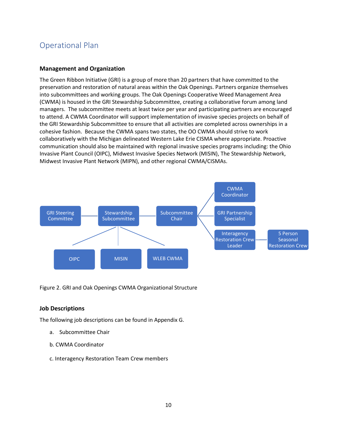# <span id="page-10-1"></span><span id="page-10-0"></span>Operational Plan

## **Management and Organization**

The Green Ribbon Initiative (GRI) is a group of more than 20 partners that have committed to the preservation and restoration of natural areas within the Oak Openings. Partners organize themselves into subcommittees and working groups. The Oak Openings Cooperative Weed Management Area (CWMA) is housed in the GRI Stewardship Subcommittee, creating a collaborative forum among land managers. The subcommittee meets at least twice per year and participating partners are encouraged to attend. A CWMA Coordinator will support implementation of invasive species projects on behalf of the GRI Stewardship Subcommittee to ensure that all activities are completed across ownerships in a cohesive fashion. Because the CWMA spans two states, the OO CWMA should strive to work collaboratively with the Michigan delineated Western Lake Erie CISMA where appropriate. Proactive communication should also be maintained with regional invasive species programs including: the Ohio Invasive Plant Council (OIPC), Midwest Invasive Species Network (MISIN), The Stewardship Network, Midwest Invasive Plant Network (MIPN), and other regional CWMA/CISMAs.



Figure 2. GRI and Oak Openings CWMA Organizational Structure

#### <span id="page-10-2"></span>**Job Descriptions**

The following job descriptions can be found in Appendix G.

- a. Subcommittee Chair
- b. CWMA Coordinator
- c. Interagency Restoration Team Crew members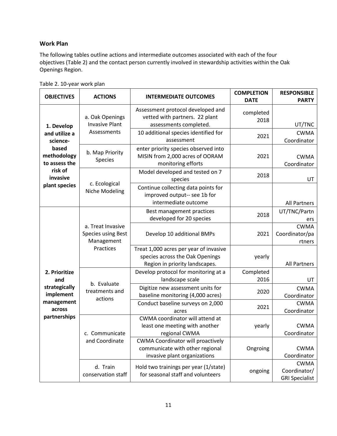# <span id="page-11-0"></span>**Work Plan**

The following tables outline actions and intermediate outcomes associated with each of the four objectives (Table 2) and the contact person currently involved in stewardship activities within the Oak Openings Region.

|  | Table 2. 10-year work plan |  |  |
|--|----------------------------|--|--|
|--|----------------------------|--|--|

| <b>OBJECTIVES</b>                                                  | <b>ACTIONS</b>                                               | <b>INTERMEDIATE OUTCOMES</b>                                                                                | <b>COMPLETION</b><br><b>DATE</b> | <b>RESPONSIBLE</b><br><b>PARTY</b>                   |
|--------------------------------------------------------------------|--------------------------------------------------------------|-------------------------------------------------------------------------------------------------------------|----------------------------------|------------------------------------------------------|
| 1. Develop                                                         | a. Oak Openings<br><b>Invasive Plant</b>                     | Assessment protocol developed and<br>vetted with partners. 22 plant<br>assessments completed.               | completed<br>2018                | UT/TNC                                               |
| and utilize a<br>science-<br>based<br>methodology<br>to assess the | Assessments                                                  | 10 additional species identified for<br>assessment                                                          | 2021                             | <b>CWMA</b><br>Coordinator                           |
|                                                                    | b. Map Priority<br>Species                                   | enter priority species observed into<br>MISIN from 2,000 acres of OORAM<br>monitoring efforts               | 2021                             | <b>CWMA</b><br>Coordinator                           |
| risk of<br>invasive                                                | c. Ecological<br>Niche Modeling                              | Model developed and tested on 7<br>species                                                                  | 2018                             | UT                                                   |
| plant species                                                      |                                                              | Continue collecting data points for<br>improved output-- see 1b for<br>intermediate outcome                 |                                  | <b>All Partners</b>                                  |
|                                                                    | a. Treat Invasive<br><b>Species using Best</b><br>Management | Best management practices<br>developed for 20 species                                                       | 2018                             | UT/TNC/Partn<br>ers                                  |
|                                                                    |                                                              | Develop 10 additional BMPs                                                                                  | 2021                             | <b>CWMA</b><br>Coordinator/pa<br>rtners              |
|                                                                    | Practices                                                    | Treat 1,000 acres per year of invasive<br>species across the Oak Openings<br>Region in priority landscapes. | yearly                           | <b>All Partners</b>                                  |
| 2. Prioritize<br>and                                               | b. Evaluate<br>treatments and<br>actions                     | Develop protocol for monitoring at a<br>landscape scale                                                     | Completed<br>2016                | UT                                                   |
| strategically<br>implement<br>management<br>across<br>partnerships |                                                              | Digitize new assessment units for<br>baseline monitoring (4,000 acres)                                      | 2020                             | <b>CWMA</b><br>Coordinator                           |
|                                                                    |                                                              | Conduct baseline surveys on 2,000<br>acres                                                                  | 2021                             | <b>CWMA</b><br>Coordinator                           |
|                                                                    | c. Communicate<br>and Coordinate                             | CWMA coordinator will attend at<br>least one meeting with another<br>regional CWMA                          | yearly                           | <b>CWMA</b><br>Coordinator                           |
|                                                                    |                                                              | <b>CWMA Coordinator will proactively</b><br>communicate with other regional<br>invasive plant organizations | Ongroing                         | <b>CWMA</b><br>Coordinator                           |
|                                                                    | d. Train<br>conservation staff                               | Hold two trainings per year (1/state)<br>for seasonal staff and volunteers                                  | ongoing                          | <b>CWMA</b><br>Coordinator/<br><b>GRI Specialist</b> |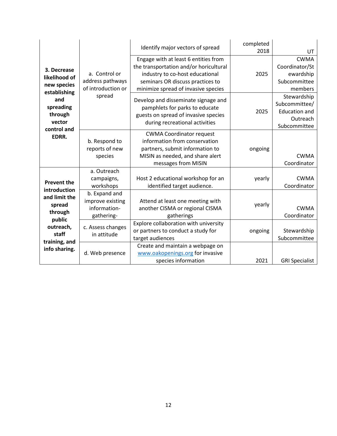|                                                                                                                      |                                                                   | Identify major vectors of spread                                                                                                                                                             | completed<br>2018 | UT.                                                                              |
|----------------------------------------------------------------------------------------------------------------------|-------------------------------------------------------------------|----------------------------------------------------------------------------------------------------------------------------------------------------------------------------------------------|-------------------|----------------------------------------------------------------------------------|
| 3. Decrease<br>likelihood of<br>new species<br>establishing                                                          | a. Control or<br>address pathways<br>of introduction or<br>spread | Engage with at least 6 entities from<br>the transportation and/or horicultural<br>industry to co-host educational<br>seminars OR discuss practices to<br>minimize spread of invasive species | 2025              | <b>CWMA</b><br>Coordinator/St<br>ewardship<br>Subcommittee<br>members            |
| and<br>spreading<br>through<br>vector<br>control and                                                                 |                                                                   | Develop and disseminate signage and<br>pamphlets for parks to educate<br>guests on spread of invasive species<br>during recreational activities                                              | 2025              | Stewardship<br>Subcommittee/<br><b>Education and</b><br>Outreach<br>Subcommittee |
| EDRR.                                                                                                                | b. Respond to<br>reports of new<br>species                        | <b>CWMA Coordinator request</b><br>information from conservation<br>partners, submit information to<br>MISIN as needed, and share alert<br>messages from MISIN                               | ongoing           | <b>CWMA</b><br>Coordinator                                                       |
| <b>Prevent the</b>                                                                                                   | a. Outreach<br>campaigns,<br>workshops                            | Host 2 educational workshop for an<br>identified target audience.                                                                                                                            | yearly            | <b>CWMA</b><br>Coordinator                                                       |
| introduction<br>and limit the<br>spread<br>through<br>public<br>outreach,<br>staff<br>training, and<br>info sharing. | b. Expand and<br>improve existing<br>information-<br>gathering-   | Attend at least one meeting with<br>another CISMA or regional CISMA<br>gatherings                                                                                                            | yearly            | <b>CWMA</b><br>Coordinator                                                       |
|                                                                                                                      | c. Assess changes<br>in attitude                                  | Explore collaboration with university<br>or partners to conduct a study for<br>target audiences                                                                                              | ongoing           | Stewardship<br>Subcommittee                                                      |
|                                                                                                                      | d. Web presence                                                   | Create and maintain a webpage on<br>www.oakopenings.org for invasive<br>species information                                                                                                  | 2021              | <b>GRI Specialist</b>                                                            |